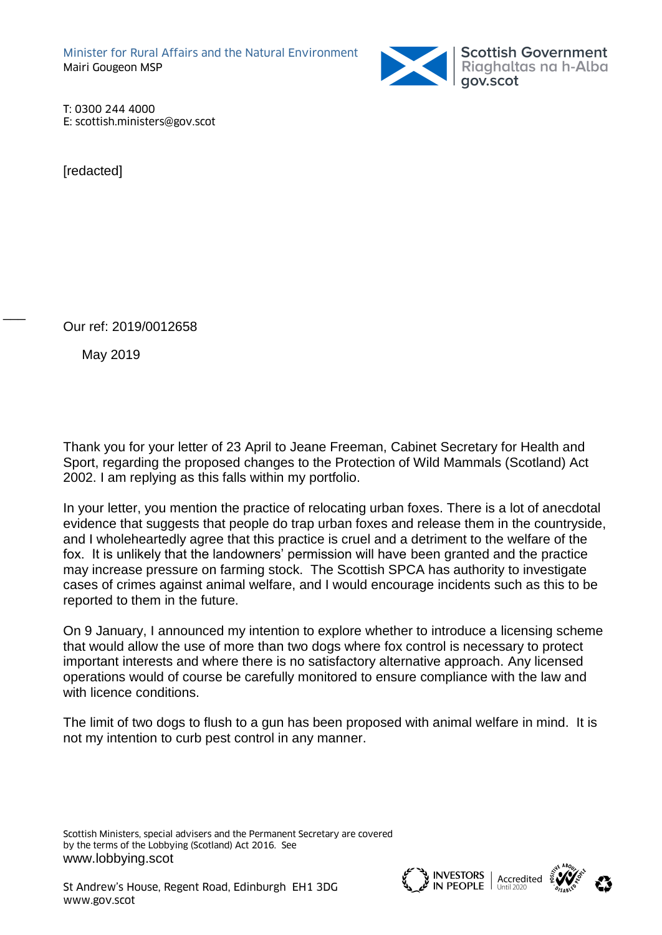

T: 0300 244 4000 E: scottish.ministers@gov.scot

**[**redacted]

Our ref: 2019/0012658

May 2019

 $\overline{\phantom{a}}$ 

Thank you for your letter of 23 April to Jeane Freeman, Cabinet Secretary for Health and Sport, regarding the proposed changes to the Protection of Wild Mammals (Scotland) Act 2002. I am replying as this falls within my portfolio.

In your letter, you mention the practice of relocating urban foxes. There is a lot of anecdotal evidence that suggests that people do trap urban foxes and release them in the countryside, and I wholeheartedly agree that this practice is cruel and a detriment to the welfare of the fox. It is unlikely that the landowners' permission will have been granted and the practice may increase pressure on farming stock. The Scottish SPCA has authority to investigate cases of crimes against animal welfare, and I would encourage incidents such as this to be reported to them in the future.

On 9 January, I announced my intention to explore whether to introduce a licensing scheme that would allow the use of more than two dogs where fox control is necessary to protect important interests and where there is no satisfactory alternative approach. Any licensed operations would of course be carefully monitored to ensure compliance with the law and with licence conditions.

The limit of two dogs to flush to a gun has been proposed with animal welfare in mind. It is not my intention to curb pest control in any manner.

Scottish Ministers, special advisers and the Permanent Secretary are covered by the terms of the Lobbying (Scotland) Act 2016. See [www.lobbying.scot](http://www.lobbying.scot/)